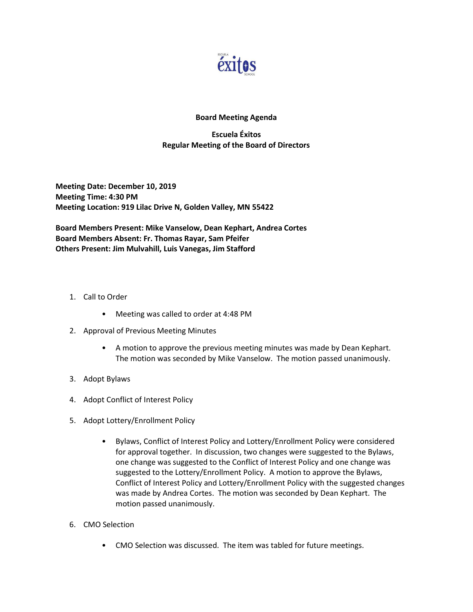

## Board Meeting Agenda

## Escuela Éxitos Regular Meeting of the Board of Directors

Meeting Date: December 10, 2019 Meeting Time: 4:30 PM Meeting Location: 919 Lilac Drive N, Golden Valley, MN 55422

Board Members Present: Mike Vanselow, Dean Kephart, Andrea Cortes Board Members Absent: Fr. Thomas Rayar, Sam Pfeifer Others Present: Jim Mulvahill, Luis Vanegas, Jim Stafford

- 1. Call to Order
	- Meeting was called to order at 4:48 PM
- 2. Approval of Previous Meeting Minutes
	- A motion to approve the previous meeting minutes was made by Dean Kephart. The motion was seconded by Mike Vanselow. The motion passed unanimously.
- 3. Adopt Bylaws
- 4. Adopt Conflict of Interest Policy
- 5. Adopt Lottery/Enrollment Policy
	- Bylaws, Conflict of Interest Policy and Lottery/Enrollment Policy were considered for approval together. In discussion, two changes were suggested to the Bylaws, one change was suggested to the Conflict of Interest Policy and one change was suggested to the Lottery/Enrollment Policy. A motion to approve the Bylaws, Conflict of Interest Policy and Lottery/Enrollment Policy with the suggested changes was made by Andrea Cortes. The motion was seconded by Dean Kephart. The motion passed unanimously.
- 6. CMO Selection
	- CMO Selection was discussed. The item was tabled for future meetings.